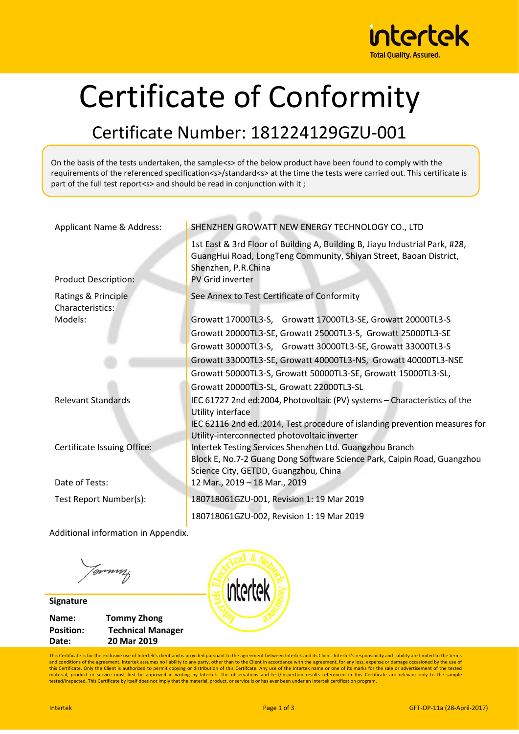

## Certificate of Conformity

## Certificate Number: 181224129GZU-001

On the basis of the tests undertaken, the sample<s> of the below product have been found to comply with the requirements of the referenced specification<s>/standard<s> at the time the tests were carried out. This certificate is part of the full test report<s> and should be read in conjunction with it;

| Applicant Name & Address:               | SHENZHEN GROWATT NEW ENERGY TECHNOLOGY CO., LTD                                                                                                                                                    |
|-----------------------------------------|----------------------------------------------------------------------------------------------------------------------------------------------------------------------------------------------------|
| <b>Product Description:</b>             | 1st East & 3rd Floor of Building A, Building B, Jiayu Industrial Park, #28,<br>GuangHui Road, LongTeng Community, Shiyan Street, Baoan District,<br>Shenzhen, P.R.China<br><b>PV Grid inverter</b> |
|                                         |                                                                                                                                                                                                    |
| Ratings & Principle<br>Characteristics: | See Annex to Test Certificate of Conformity                                                                                                                                                        |
| Models:                                 | Growatt 17000TL3-S, Growatt 17000TL3-SE, Growatt 20000TL3-S                                                                                                                                        |
|                                         |                                                                                                                                                                                                    |
|                                         | Growatt 20000TL3-SE, Growatt 25000TL3-S, Growatt 25000TL3-SE                                                                                                                                       |
|                                         | Growatt 30000TL3-S, Growatt 30000TL3-SE, Growatt 33000TL3-S                                                                                                                                        |
|                                         | Growatt 33000TL3-SE, Growatt 40000TL3-NS, Growatt 40000TL3-NSE                                                                                                                                     |
|                                         | Growatt 50000TL3-S, Growatt 50000TL3-SE, Growatt 15000TL3-SL,                                                                                                                                      |
|                                         | Growatt 20000TL3-SL, Growatt 22000TL3-SL                                                                                                                                                           |
| <b>Relevant Standards</b>               | IEC 61727 2nd ed:2004, Photovoltaic (PV) systems - Characteristics of the<br>Utility interface                                                                                                     |
|                                         | IEC 62116 2nd ed.: 2014, Test procedure of islanding prevention measures for<br>Utility-interconnected photovoltaic inverter                                                                       |
| Certificate Issuing Office:             | Intertek Testing Services Shenzhen Ltd. Guangzhou Branch                                                                                                                                           |
|                                         | Block E, No.7-2 Guang Dong Software Science Park, Caipin Road, Guangzhou                                                                                                                           |
|                                         | Science City, GETDD, Guangzhou, China                                                                                                                                                              |
| Date of Tests:                          | 12 Mar., 2019 - 18 Mar., 2019                                                                                                                                                                      |
| Test Report Number(s):                  | 180718061GZU-001, Revision 1: 19 Mar 2019                                                                                                                                                          |
|                                         | 180718061GZU-002, Revision 1: 19 Mar 2019                                                                                                                                                          |
|                                         |                                                                                                                                                                                                    |

Additional information in Appendix.

Tommy

**Signature Name: Tommy Zhong Position: Technical Manager Date: 20 Mar 2019**



This Certificate is for the exclusive use of Intertek's client and is provided pursuant to the agreement between Intertek and its Client. Intertek's responsibility and liability are limited to the terms and conditions of the agreement. Intertek assumes no liability to any party, other than to the Client in accordance with the agreement, for any loss, expense or damage occasioned by the use of<br>this Certificate. Only the Cl material, product or service must first be approved in writing by Intertek. The observations and test/inspection results referenced in this Certificate are relevant only to the sample tested/inspected. This Certificate by itself does not imply that the material, product, or service is or has ever been under an Intertek certification program.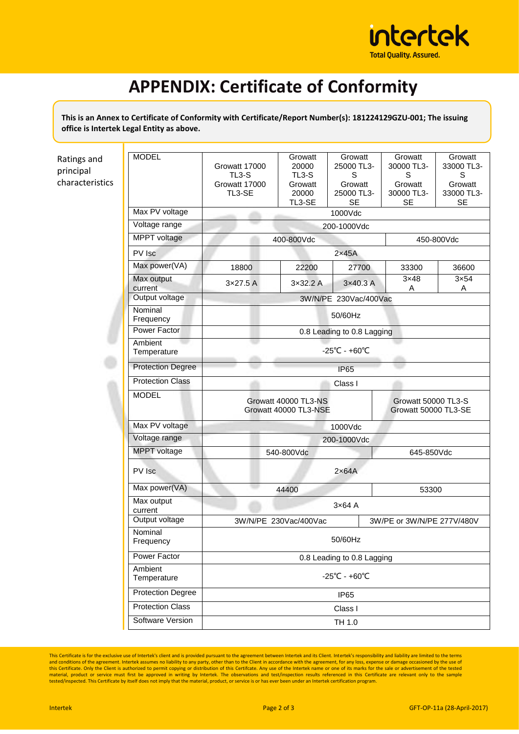

## **APPENDIX: Certificate of Conformity**

**This is an Annex to Certificate of Conformity with Certificate/Report Number(s): 181224129GZU-001; The issuing office is Intertek Legal Entity as above.**

| Ratings and<br>principal<br>characteristics | <b>MODEL</b>             | Growatt 17000<br>TL3-S<br>Growatt 17000<br>TL3-SE | Growatt<br>20000<br>$TL3-S$<br>Growatt<br>20000<br>TL3-SE | Growatt<br>25000 TL3-<br>S<br>Growatt<br>25000 TL3-<br><b>SE</b> | Growatt<br>30000 TL3-<br>S<br>Growatt<br>30000 TL3-<br><b>SE</b> | Growatt<br>33000 TL3-<br>S<br>Growatt<br>33000 TL3-<br><b>SE</b> |  |
|---------------------------------------------|--------------------------|---------------------------------------------------|-----------------------------------------------------------|------------------------------------------------------------------|------------------------------------------------------------------|------------------------------------------------------------------|--|
|                                             | Max PV voltage           | 1000Vdc                                           |                                                           |                                                                  |                                                                  |                                                                  |  |
|                                             | Voltage range            | 200-1000Vdc                                       |                                                           |                                                                  |                                                                  |                                                                  |  |
|                                             | MPPT voltage             | 400-800Vdc                                        |                                                           |                                                                  | 450-800Vdc                                                       |                                                                  |  |
|                                             | PV Isc                   | $2\times 45A$                                     |                                                           |                                                                  |                                                                  |                                                                  |  |
|                                             | Max power(VA)            | 18800                                             | 22200                                                     | 27700                                                            | 33300                                                            | 36600                                                            |  |
|                                             | Max output<br>current    | $3\times27.5$ A                                   | 3x32.2A                                                   | 3×40.3 A                                                         | 3x48<br>Α                                                        | $3\times 54$<br>Α                                                |  |
|                                             | Output voltage           | 3W/N/PE 230Vac/400Vac                             |                                                           |                                                                  |                                                                  |                                                                  |  |
|                                             | Nominal<br>Frequency     | 50/60Hz                                           |                                                           |                                                                  |                                                                  |                                                                  |  |
|                                             | Power Factor             | 0.8 Leading to 0.8 Lagging                        |                                                           |                                                                  |                                                                  |                                                                  |  |
|                                             | Ambient<br>Temperature   | $-25^{\circ}$ C - +60 $^{\circ}$ C                |                                                           |                                                                  |                                                                  |                                                                  |  |
|                                             | <b>Protection Degree</b> | <b>IP65</b>                                       |                                                           |                                                                  |                                                                  |                                                                  |  |
|                                             | <b>Protection Class</b>  | Class I                                           |                                                           |                                                                  |                                                                  |                                                                  |  |
|                                             | <b>MODEL</b>             | Growatt 40000 TL3-NS<br>Growatt 40000 TL3-NSE     |                                                           |                                                                  | Growatt 50000 TL3-S<br>Growatt 50000 TL3-SE                      |                                                                  |  |
|                                             | Max PV voltage           | 1000Vdc                                           |                                                           |                                                                  |                                                                  |                                                                  |  |
|                                             | Voltage range            | 200-1000Vdc                                       |                                                           |                                                                  |                                                                  |                                                                  |  |
|                                             | MPPT voltage             | 540-800Vdc                                        |                                                           |                                                                  | 645-850Vdc                                                       |                                                                  |  |
|                                             | PV Isc                   | $2\times 64A$                                     |                                                           |                                                                  |                                                                  |                                                                  |  |
|                                             | Max power(VA)            | 44400<br>53300                                    |                                                           |                                                                  |                                                                  |                                                                  |  |
|                                             | Max output<br>current    | $3\times 64$ A                                    |                                                           |                                                                  |                                                                  |                                                                  |  |
|                                             | Output voltage           | 3W/N/PE 230Vac/400Vac                             |                                                           |                                                                  | 3W/PE or 3W/N/PE 277V/480V                                       |                                                                  |  |
|                                             | Nominal<br>Frequency     | 50/60Hz                                           |                                                           |                                                                  |                                                                  |                                                                  |  |
|                                             | Power Factor             | 0.8 Leading to 0.8 Lagging                        |                                                           |                                                                  |                                                                  |                                                                  |  |
|                                             | Ambient<br>Temperature   | $-25^{\circ}$ C - +60 $^{\circ}$ C                |                                                           |                                                                  |                                                                  |                                                                  |  |
|                                             | <b>Protection Degree</b> | IP65                                              |                                                           |                                                                  |                                                                  |                                                                  |  |
|                                             | <b>Protection Class</b>  | Class I                                           |                                                           |                                                                  |                                                                  |                                                                  |  |
|                                             | Software Version         | TH 1.0                                            |                                                           |                                                                  |                                                                  |                                                                  |  |

This Certificate is for the exclusive use of Intertek's client and is provided pursuant to the agreement between Intertek and its Client. Intertek's responsibility and liability are limited to the terms<br>and conditions of t material, product or service must first be approved in writing by Intertek. The observations and test/inspection results referenced in this Certificate are relevant only to the sample tested/inspected. This Certificate by itself does not imply that the material, product, or service is or has ever been under an Intertek certification program.